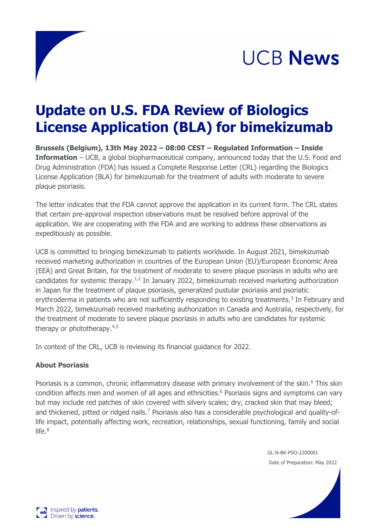

# **UCB News**

### **Update on U.S. FDA Review of Biologics License Application (BLA) for bimekizumab**

**Brussels (Belgium), 13th May 2022 – 08:00 CEST – Regulated Information – Inside Information** – UCB, a global biopharmaceutical company, announced today that the U.S. Food and Drug Administration (FDA) has issued a Complete Response Letter (CRL) regarding the Biologics License Application (BLA) for bimekizumab for the treatment of adults with moderate to severe plaque psoriasis.

The letter indicates that the FDA cannot approve the application in its current form. The CRL states that certain pre-approval inspection observations must be resolved before approval of the application. We are cooperating with the FDA and are working to address these observations as expeditiously as possible.

UCB is committed to bringing bimekizumab to patients worldwide. In August 2021, bimekizumab received marketing authorization in countries of the European Union (EU)/European Economic Area (EEA) and Great Britain, for the treatment of moderate to severe plaque psoriasis in adults who are candidates for systemic therapy. $1/2$  $1/2$  $1/2$  In January 2022, bimekizumab received marketing authorization in Japan for the treatment of plaque psoriasis, generalized pustular psoriasis and psoriatic erythroderma in patients who are not sufficiently responding to existing treatments. [3](#page-2-2) In February and March 2022, bimekizumab received marketing authorization in Canada and Australia, respectively, for the treatment of moderate to severe plaque psoriasis in adults who are candidates for systemic therapy or phototherapy.<sup>[4,](#page-2-3)[5](#page-2-4)</sup>

In context of the CRL, UCB is reviewing its financial guidance for 2022.

### **About Psoriasis**

Psoriasis is a common, chronic inflammatory disease with primary involvement of the skin.<sup>[6](#page-2-5)</sup> This skin condition affects men and women of all ages and ethnicities.<sup>6</sup> Psoriasis signs and symptoms can vary but may include red patches of skin covered with silvery scales; dry, cracked skin that may bleed; and thickened, pitted or ridged nails.<sup>[7](#page-2-6)</sup> Psoriasis also has a considerable psychological and quality-oflife impact, potentially affecting work, recreation, relationships, sexual functioning, family and social life. $^8$  $^8$ 

> <span id="page-0-0"></span>GL-N-BK-PSO-2200001 Date of Preparation: May 2022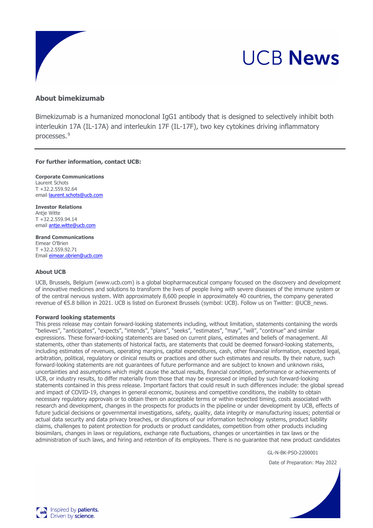



#### **About bimekizumab**

Bimekizumab is a humanized monoclonal IgG1 antibody that is designed to selectively inhibit both interleukin 17A (IL-17A) and interleukin 17F (IL-17F), two key cytokines driving inflammatory processes.<sup>[9](#page-3-0)</sup>

#### **For further information, contact UCB:**

**Corporate Communications** Laurent Schots<br>T +32.2.559.92.64 email [laurent.schots@ucb.com](mailto:laurent.schots@ucb.com)

**Investor Relations** Antje Witte<br>T +32,2.559.94.14 email **antje.witte@ucb.com** 

**Brand Communications** Eimear O'Brien T +32.2.559.92.71 Email [eimear.obrien@ucb.com](mailto:eimear.obrien@ucb.com)

#### **About UCB**

UCB, Brussels, Belgium (www.ucb.com) is a global biopharmaceutical company focused on the discovery and development of innovative medicines and solutions to transform the lives of people living with severe diseases of the immune system or of the central nervous system. With approximately 8,600 people in approximately 40 countries, the company generated revenue of €5.8 billion in 2021. UCB is listed on Euronext Brussels (symbol: UCB). Follow us on Twitter: @UCB\_news.

#### **Forward looking statements**

This press release may contain forward-looking statements including, without limitation, statements containing the words "believes", "anticipates", "expects", "intends", "plans", "seeks", "estimates", "may", "will", "continue" and similar expressions. These forward-looking statements are based on current plans, estimates and beliefs of management. All statements, other than statements of historical facts, are statements that could be deemed forward-looking statements, including estimates of revenues, operating margins, capital expenditures, cash, other financial information, expected legal, arbitration, political, regulatory or clinical results or practices and other such estimates and results. By their nature, such forward-looking statements are not guarantees of future performance and are subject to known and unknown risks, uncertainties and assumptions which might cause the actual results, financial condition, performance or achievements of UCB, or industry results, to differ materially from those that may be expressed or implied by such forward-looking statements contained in this press release. Important factors that could result in such differences include: the global spread and impact of COVID-19, changes in general economic, business and competitive conditions, the inability to obtain necessary regulatory approvals or to obtain them on acceptable terms or within expected timing, costs associated with research and development, changes in the prospects for products in the pipeline or under development by UCB, effects of future judicial decisions or governmental investigations, safety, quality, data integrity or manufacturing issues; potential or actual data security and data privacy breaches, or disruptions of our information technology systems, product liability claims, challenges to patent protection for products or product candidates, competition from other products including biosimilars, changes in laws or regulations, exchange rate fluctuations, changes or uncertainties in tax laws or the administration of such laws, and hiring and retention of its employees. There is no guarantee that new product candidates

GL-N-BK-PSO-2200001

Date of Preparation: May 2022

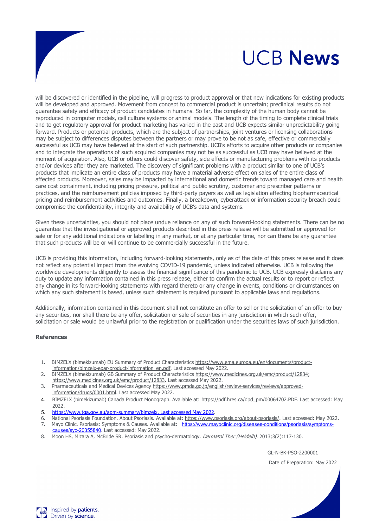## **UCB News**

will be discovered or identified in the pipeline, will progress to product approval or that new indications for existing products will be developed and approved. Movement from concept to commercial product is uncertain; preclinical results do not guarantee safety and efficacy of product candidates in humans. So far, the complexity of the human body cannot be reproduced in computer models, cell culture systems or animal models. The length of the timing to complete clinical trials and to get regulatory approval for product marketing has varied in the past and UCB expects similar unpredictability going forward. Products or potential products, which are the subject of partnerships, joint ventures or licensing collaborations may be subject to differences disputes between the partners or may prove to be not as safe, effective or commercially successful as UCB may have believed at the start of such partnership. UCB's efforts to acquire other products or companies and to integrate the operations of such acquired companies may not be as successful as UCB may have believed at the moment of acquisition. Also, UCB or others could discover safety, side effects or manufacturing problems with its products and/or devices after they are marketed. The discovery of significant problems with a product similar to one of UCB's products that implicate an entire class of products may have a material adverse effect on sales of the entire class of affected products. Moreover, sales may be impacted by international and domestic trends toward managed care and health care cost containment, including pricing pressure, political and public scrutiny, customer and prescriber patterns or practices, and the reimbursement policies imposed by third-party payers as well as legislation affecting biopharmaceutical pricing and reimbursement activities and outcomes. Finally, a breakdown, cyberattack or information security breach could compromise the confidentiality, integrity and availability of UCB's data and systems.

Given these uncertainties, you should not place undue reliance on any of such forward-looking statements. There can be no guarantee that the investigational or approved products described in this press release will be submitted or approved for sale or for any additional indications or labelling in any market, or at any particular time, nor can there be any guarantee that such products will be or will continue to be commercially successful in the future.

UCB is providing this information, including forward-looking statements, only as of the date of this press release and it does not reflect any potential impact from the evolving COVID-19 pandemic, unless indicated otherwise. UCB is following the worldwide developments diligently to assess the financial significance of this pandemic to UCB. UCB expressly disclaims any duty to update any information contained in this press release, either to confirm the actual results or to report or reflect any change in its forward-looking statements with regard thereto or any change in events, conditions or circumstances on which any such statement is based, unless such statement is required pursuant to applicable laws and regulations.

Additionally, information contained in this document shall not constitute an offer to sell or the solicitation of an offer to buy any securities, nor shall there be any offer, solicitation or sale of securities in any jurisdiction in which such offer, solicitation or sale would be unlawful prior to the registration or qualification under the securities laws of such jurisdiction.

#### **References**

- <span id="page-2-0"></span>1. BIMZELX (bimekizumab) EU Summary of Product Characteristics [https://www.ema.europa.eu/en/documents/product](https://www.ema.europa.eu/en/documents/product-information/bimzelx-epar-product-information_en.pdf)[information/bimzelx-epar-product-information\\_en.pdf.](https://www.ema.europa.eu/en/documents/product-information/bimzelx-epar-product-information_en.pdf) Last accessed May 2022.
- <span id="page-2-1"></span>2. BIMZELX (bimekizumab) GB Summary of Product Characteristics [https://www.medicines.org.uk/emc/product/12834;](https://www.medicines.org.uk/emc/product/12834) [https://www.medicines.org.uk/emc/product/12833.](https://www.medicines.org.uk/emc/product/12833) Last accessed May 2022.
- <span id="page-2-2"></span>3. Pharmaceuticals and Medical Devices Agency [https://www.pmda.go.jp/english/review-services/reviews/approved](https://www.pmda.go.jp/english/review-services/reviews/approved-information/drugs/0001.html)[information/drugs/0001.html.](https://www.pmda.go.jp/english/review-services/reviews/approved-information/drugs/0001.html) Last accessed May 2022.
- <span id="page-2-3"></span>4. BIMZELX (bimekizumab) Canada Product Monograph. Available at: [https://pdf.hres.ca/dpd\\_pm/00064702.PDF.](https://pdf.hres.ca/dpd_pm/00064702.PDF) Last accessed: May 2022.
- <span id="page-2-4"></span>5. [https://www.tga.gov.au/apm-summary/bimzelx. Last accessed May 2022.](https://www.tga.gov.au/apm-summary/bimzelx.%20Last%20accessed%20May%202022)
- <span id="page-2-6"></span><span id="page-2-5"></span>6. National Psoriasis Foundation. About Psoriasis. Available at: [https://www.psoriasis.org/about-psoriasis/.](https://www.psoriasis.org/about-psoriasis/) Last accessed: May 2022.<br>7 Mayo Clinic Psoriasis: Symptoms & Causes Available at: https://www.mayoclinic.org/dise 7. Mayo Clinic. Psoriasis: Symptoms & Causes. Available at: [https://www.mayoclinic.org/diseases-conditions/psoriasis/symptoms-](https://www.mayoclinic.org/diseases-conditions/psoriasis/symptoms-%20%20%20%20%20causes/syc-20355840)
- [causes/syc-20355840.](https://www.mayoclinic.org/diseases-conditions/psoriasis/symptoms-%20%20%20%20%20causes/syc-20355840) Last accessed: May 2022.
- <span id="page-2-7"></span>8. Moon HS, Mizara A, McBride SR. Psoriasis and psycho-dermatology. Dermatol Ther (Heidelb). 2013;3(2):117-130.

GL-N-BK-PSO-2200001

Date of Preparation: May 2022